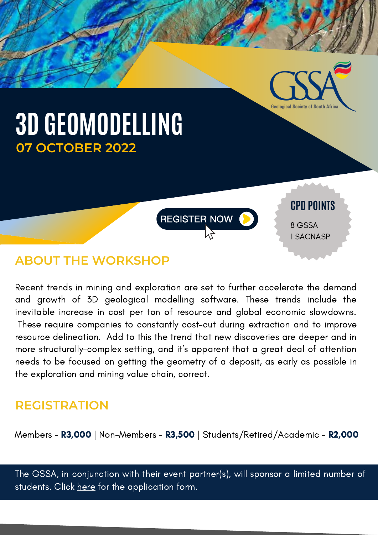

# **3D GEOMODELLING 07 OCTOBER 2022**



**CPD POINTS** 8 GSSA 1 SACNASP

# **ABOUT THE WORKSHOP**

resource delineation. Add to this the trend that new discoveries are deeper and in Recent trends in mining and exploration are set to further accelerate the demand and growth of 3D geological modelling software. These trends include the inevitable increase in cost per ton of resource and global economic slowdowns. These require companies to constantly cost-cut during extraction and to improve more structurally-complex setting, and it's apparent that a great deal of attention needs to be focused on getting the geometry of a deposit, as early as possible in the exploration and mining value chain, correct.

# **REGISTRATION**

Members - R3,000 | Non-Members - R3,500 | Students/Retired/Academic - R2,000

The GSSA, in conjunction with their event partner(s), will sponsor a limited number of students. Click [here](https://www.gssa.org.za/uploads/newsletters/Events/Student_Sponsor.pdf) for the application form.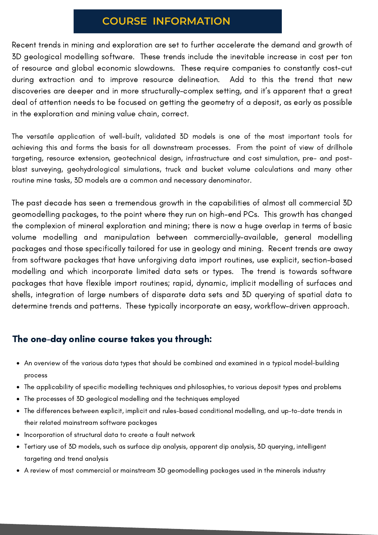## **COURSE INFORMATION**

Recent trends in mining and exploration are set to further accelerate the demand and growth of 3D geological modelling software. These trends include the inevitable increase in cost per ton of resource and global economic slowdowns. These require companies to constantly cost-cut during extraction and to improve resource delineation. Add to this the trend that new discoveries are deeper and in more structurally-complex setting, and it's apparent that a great deal of attention needs to be focused on getting the geometry of a deposit, as early as possible in the exploration and mining value chain, correct.

The versatile application of well-built, validated 3D models is one of the most important tools for achieving this and forms the basis for all downstream processes. From the point of view of drillhole targeting, resource extension, geotechnical design, infrastructure and cost simulation, pre- and postblast surveying, geohydrological simulations, truck and bucket volume calculations and many other routine mine tasks, 3D models are a common and necessary denominator.

The past decade has seen a tremendous growth in the capabilities of almost all commercial 3D geomodelling packages, to the point where they run on high-end PCs. This growth has changed the complexion of mineral exploration and mining; there is now a huge overlap in terms of basic volume modelling and manipulation between commercially-available, general modelling packages and those specifically tailored for use in geology and mining. Recent trends are away from software packages that have unforgiving data import routines, use explicit, section-based modelling and which incorporate limited data sets or types. The trend is towards software packages that have flexible import routines; rapid, dynamic, implicit modelling of surfaces and shells, integration of large numbers of disparate data sets and 3D querying of spatial data to determine trends and patterns. These typically incorporate an easy, workflow-driven approach.

#### The one-day online course takes you through:

- An overview of the various data types that should be combined and examined in a typical model-building process
- The applicability of specific modelling techniques and philosophies, to various deposit types and problems
- The processes of 3D geological modelling and the techniques employed
- The differences between explicit, implicit and rules-based conditional modelling, and up-to-date trends in their related mainstream software packages
- Incorporation of structural data to create a fault network
- Tertiary use of 3D models, such as surface dip analysis, apparent dip analysis, 3D querying, intelligent targeting and trend analysis
- A review of most commercial or mainstream 3D geomodelling packages used in the minerals industry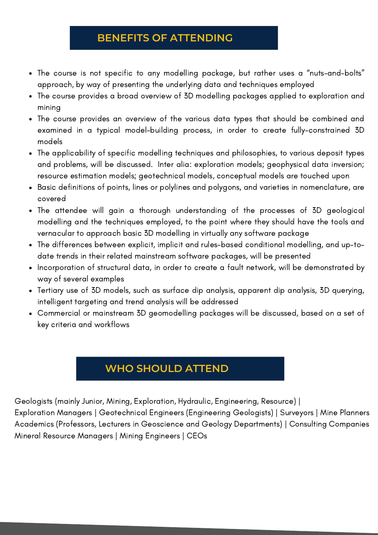## **BENEFITS OF ATTENDING**

- The course is not specific to any modelling package, but rather uses a "nuts-and-bolts" approach, by way of presenting the underlying data and techniques employed
- The course provides a broad overview of 3D modelling packages applied to exploration and mining
- The course provides an overview of the various data types that should be combined and examined in a typical model-building process, in order to create fully-constrained 3D models
- The applicability of specific modelling techniques and philosophies, to various deposit types and problems, will be discussed. Inter alia: exploration models; geophysical data inversion; resource estimation models; geotechnical models, conceptual models are touched upon
- Basic definitions of points, lines or polylines and polygons, and varieties in nomenclature, are covered
- The attendee will gain a thorough understanding of the processes of 3D geological modelling and the techniques employed, to the point where they should have the tools and vernacular to approach basic 3D modelling in virtually any software package
- The differences between explicit, implicit and rules-based conditional modelling, and up-todate trends in their related mainstream software packages, will be presented
- Incorporation of structural data, in order to create a fault network, will be demonstrated by way of several examples
- Tertiary use of 3D models, such as surface dip analysis, apparent dip analysis, 3D querying, intelligent targeting and trend analysis will be addressed
- Commercial or mainstream 3D geomodelling packages will be discussed, based on a set of key criteria and workflows

## **WHO SHOULD ATTEND**

Geologists (mainly Junior, Mining, Exploration, Hydraulic, Engineering, Resource) |

Exploration Managers | Geotechnical Engineers (Engineering Geologists) | Surveyors | Mine Planners Academics (Professors, Lecturers in Geoscience and Geology Departments) | Consulting Companies Mineral Resource Managers | Mining Engineers | CEOs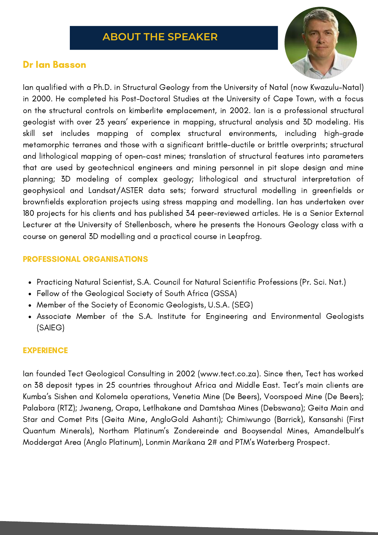## **ABOUT THE SPEAKER**



#### Dr Ian Basson

Ian qualified with a Ph.D. in Structural Geology from the University of Natal (now Kwazulu-Natal) in 2000. He completed his Post-Doctoral Studies at the University of Cape Town, with a focus on the structural controls on kimberlite emplacement, in 2002. Ian is a professional structural geologist with over 23 years' experience in mapping, structural analysis and 3D modeling. His skill set includes mapping of complex structural environments, including high-grade metamorphic terranes and those with a significant brittle-ductile or brittle overprints; structural and lithological mapping of open-cast mines; translation of structural features into parameters that are used by geotechnical engineers and mining personnel in pit slope design and mine planning; 3D modeling of complex geology; lithological and structural interpretation of geophysical and Landsat/ASTER data sets; forward structural modelling in greenfields or brownfields exploration projects using stress mapping and modelling. Ian has undertaken over 180 projects for his clients and has published 34 peer-reviewed articles. He is a Senior External Lecturer at the University of Stellenbosch, where he presents the Honours Geology class with a course on general 3D modelling and a practical course in Leapfrog.

#### PROFESSIONAL ORGANISATIONS

- Practicing Natural Scientist, S.A. Council for Natural Scientific Professions (Pr. Sci. Nat.)
- Fellow of the Geological Society of South Africa (GSSA)
- Member of the Society of Economic Geologists, U.S.A. (SEG)
- Associate Member of the S.A. Institute for Engineering and Environmental Geologists (SAIEG)

#### **EXPERIENCE**

Ian founded Tect Geological Consulting in 2002 [\(www.tect.co.za\)](http://www.tect.co.za/). Since then, Tect has worked on 38 deposit types in 25 countries throughout Africa and Middle East. Tect's main clients are Kumba's Sishen and Kolomela operations, Venetia Mine (De Beers), Voorspoed Mine (De Beers); Palabora (RTZ); Jwaneng, Orapa, Letlhakane and Damtshaa Mines (Debswana); Geita Main and Star and Comet Pits (Geita Mine, AngloGold Ashanti); Chimiwungo (Barrick), Kansanshi (First Quantum Minerals), Northam Platinum's Zondereinde and Booysendal Mines, Amandelbult's Moddergat Area (Anglo Platinum), Lonmin Marikana 2# and PTM's Waterberg Prospect.